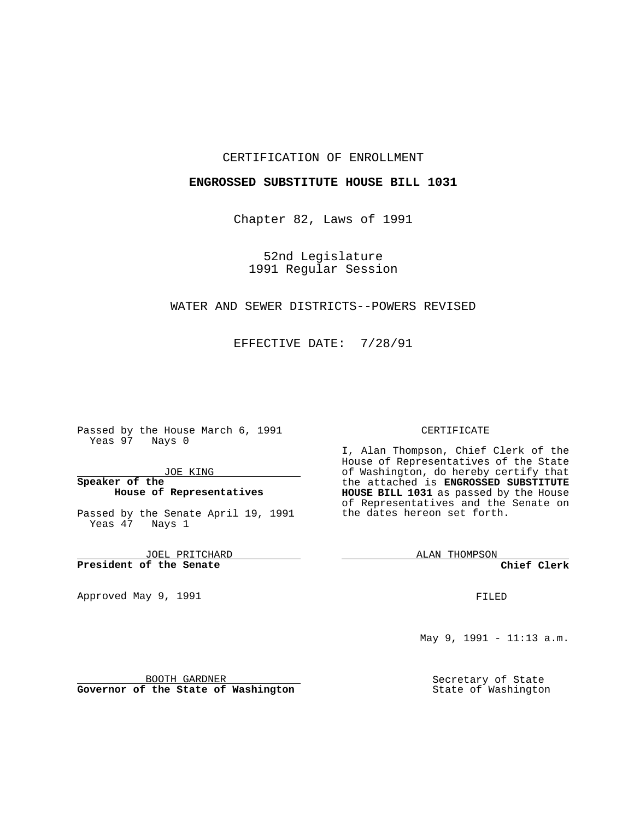#### CERTIFICATION OF ENROLLMENT

#### **ENGROSSED SUBSTITUTE HOUSE BILL 1031**

Chapter 82, Laws of 1991

52nd Legislature 1991 Regular Session

## WATER AND SEWER DISTRICTS--POWERS REVISED

EFFECTIVE DATE: 7/28/91

Passed by the House March 6, 1991 Yeas 97 Nays 0

JOE KING

## **Speaker of the House of Representatives**

Passed by the Senate April 19, 1991 Yeas 47 Nays 1

JOEL PRITCHARD **President of the Senate**

Approved May 9, 1991

#### CERTIFICATE

I, Alan Thompson, Chief Clerk of the House of Representatives of the State of Washington, do hereby certify that the attached is **ENGROSSED SUBSTITUTE HOUSE BILL 1031** as passed by the House of Representatives and the Senate on the dates hereon set forth.

ALAN THOMPSON

**Chief Clerk**

FILED

May 9, 1991 - 11:13 a.m.

Secretary of State State of Washington

BOOTH GARDNER

**Governor of the State of Washington**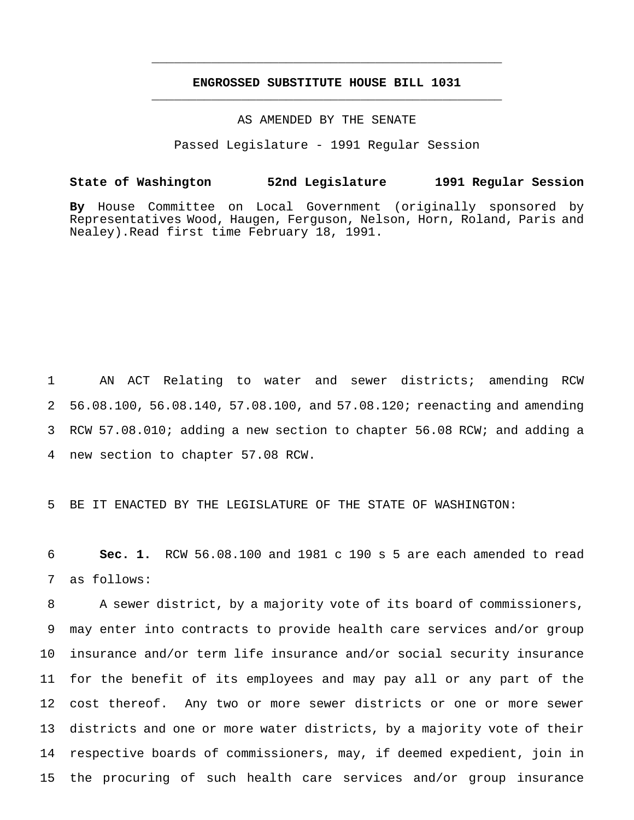# **ENGROSSED SUBSTITUTE HOUSE BILL 1031** \_\_\_\_\_\_\_\_\_\_\_\_\_\_\_\_\_\_\_\_\_\_\_\_\_\_\_\_\_\_\_\_\_\_\_\_\_\_\_\_\_\_\_\_\_\_\_

\_\_\_\_\_\_\_\_\_\_\_\_\_\_\_\_\_\_\_\_\_\_\_\_\_\_\_\_\_\_\_\_\_\_\_\_\_\_\_\_\_\_\_\_\_\_\_

AS AMENDED BY THE SENATE

Passed Legislature - 1991 Regular Session

### **State of Washington 52nd Legislature 1991 Regular Session**

**By** House Committee on Local Government (originally sponsored by Representatives Wood, Haugen, Ferguson, Nelson, Horn, Roland, Paris and Nealey).Read first time February 18, 1991.

 AN ACT Relating to water and sewer districts; amending RCW 56.08.100, 56.08.140, 57.08.100, and 57.08.120; reenacting and amending RCW 57.08.010; adding a new section to chapter 56.08 RCW; and adding a new section to chapter 57.08 RCW.

BE IT ENACTED BY THE LEGISLATURE OF THE STATE OF WASHINGTON:

 **Sec. 1.** RCW 56.08.100 and 1981 c 190 s 5 are each amended to read as follows:

 A sewer district, by a majority vote of its board of commissioners, may enter into contracts to provide health care services and/or group insurance and/or term life insurance and/or social security insurance for the benefit of its employees and may pay all or any part of the cost thereof. Any two or more sewer districts or one or more sewer districts and one or more water districts, by a majority vote of their respective boards of commissioners, may, if deemed expedient, join in the procuring of such health care services and/or group insurance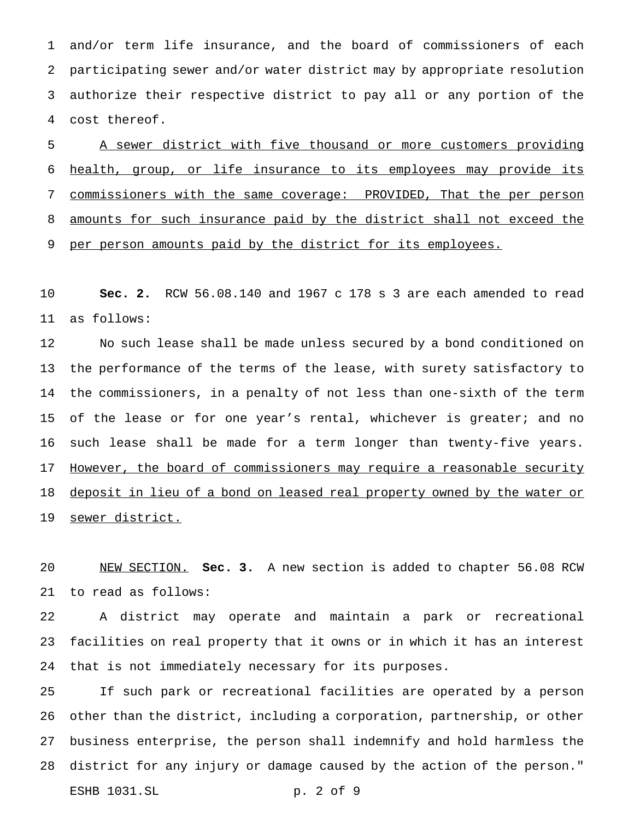and/or term life insurance, and the board of commissioners of each participating sewer and/or water district may by appropriate resolution authorize their respective district to pay all or any portion of the cost thereof.

 A sewer district with five thousand or more customers providing health, group, or life insurance to its employees may provide its commissioners with the same coverage: PROVIDED, That the per person amounts for such insurance paid by the district shall not exceed the 9 per person amounts paid by the district for its employees.

 **Sec. 2.** RCW 56.08.140 and 1967 c 178 s 3 are each amended to read as follows:

 No such lease shall be made unless secured by a bond conditioned on the performance of the terms of the lease, with surety satisfactory to the commissioners, in a penalty of not less than one-sixth of the term 15 of the lease or for one year's rental, whichever is greater; and no such lease shall be made for a term longer than twenty-five years. 17 However, the board of commissioners may require a reasonable security 18 deposit in lieu of a bond on leased real property owned by the water or 19 sewer district.

 NEW SECTION. **Sec. 3.** A new section is added to chapter 56.08 RCW to read as follows:

 A district may operate and maintain a park or recreational facilities on real property that it owns or in which it has an interest that is not immediately necessary for its purposes.

 If such park or recreational facilities are operated by a person other than the district, including a corporation, partnership, or other business enterprise, the person shall indemnify and hold harmless the district for any injury or damage caused by the action of the person." ESHB 1031.SL p. 2 of 9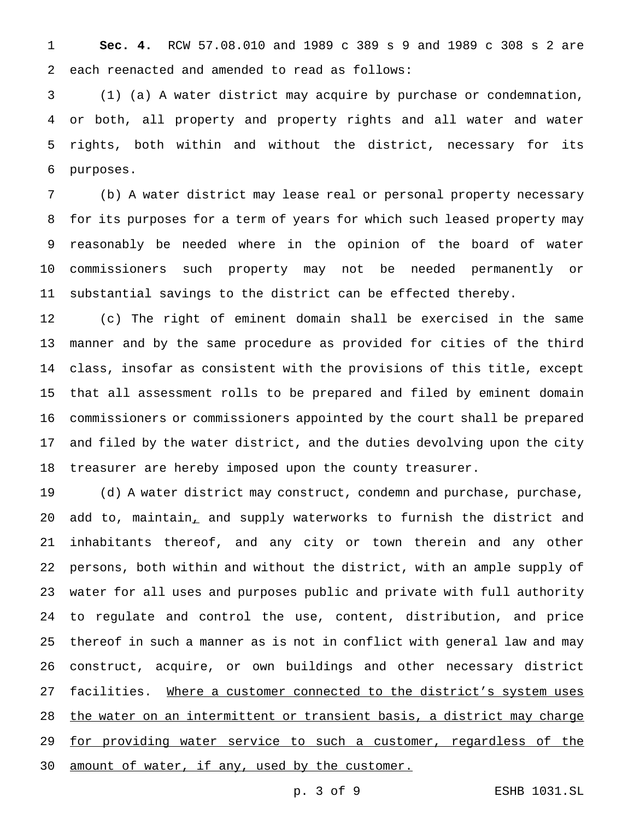**Sec. 4.** RCW 57.08.010 and 1989 c 389 s 9 and 1989 c 308 s 2 are each reenacted and amended to read as follows:

 (1) (a) A water district may acquire by purchase or condemnation, or both, all property and property rights and all water and water rights, both within and without the district, necessary for its purposes.

 (b) A water district may lease real or personal property necessary for its purposes for a term of years for which such leased property may reasonably be needed where in the opinion of the board of water commissioners such property may not be needed permanently or substantial savings to the district can be effected thereby.

 (c) The right of eminent domain shall be exercised in the same manner and by the same procedure as provided for cities of the third class, insofar as consistent with the provisions of this title, except that all assessment rolls to be prepared and filed by eminent domain commissioners or commissioners appointed by the court shall be prepared and filed by the water district, and the duties devolving upon the city treasurer are hereby imposed upon the county treasurer.

 (d) A water district may construct, condemn and purchase, purchase, add to, maintain, and supply waterworks to furnish the district and inhabitants thereof, and any city or town therein and any other persons, both within and without the district, with an ample supply of water for all uses and purposes public and private with full authority to regulate and control the use, content, distribution, and price thereof in such a manner as is not in conflict with general law and may construct, acquire, or own buildings and other necessary district 27 facilities. Where a customer connected to the district's system uses the water on an intermittent or transient basis, a district may charge 29 for providing water service to such a customer, regardless of the 30 amount of water, if any, used by the customer.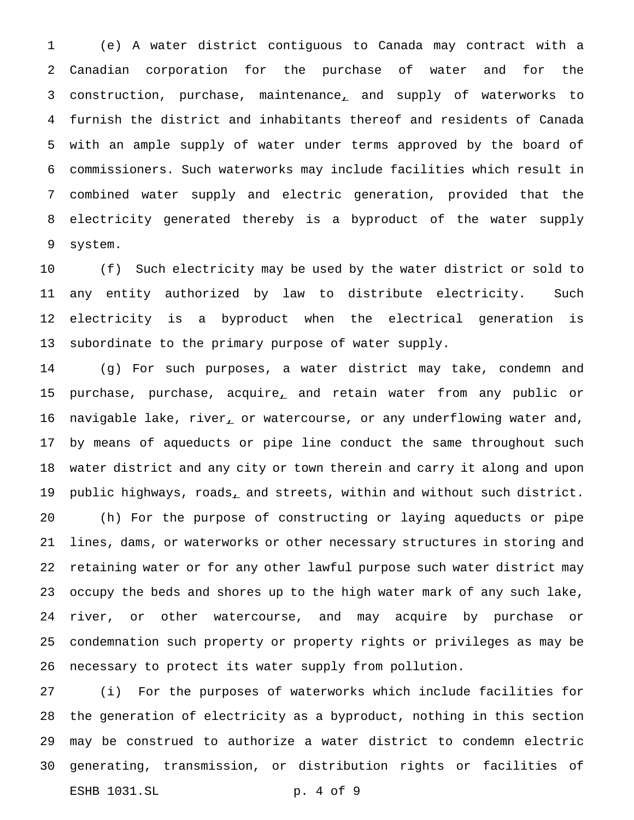(e) A water district contiguous to Canada may contract with a Canadian corporation for the purchase of water and for the construction, purchase, maintenance, and supply of waterworks to furnish the district and inhabitants thereof and residents of Canada with an ample supply of water under terms approved by the board of commissioners. Such waterworks may include facilities which result in combined water supply and electric generation, provided that the electricity generated thereby is a byproduct of the water supply system.

 (f) Such electricity may be used by the water district or sold to any entity authorized by law to distribute electricity. Such electricity is a byproduct when the electrical generation is subordinate to the primary purpose of water supply.

 (g) For such purposes, a water district may take, condemn and 15 purchase, purchase, acquire, and retain water from any public or 16 navigable lake, river, or watercourse, or any underflowing water and, by means of aqueducts or pipe line conduct the same throughout such water district and any city or town therein and carry it along and upon 19 public highways, roads, and streets, within and without such district. (h) For the purpose of constructing or laying aqueducts or pipe lines, dams, or waterworks or other necessary structures in storing and retaining water or for any other lawful purpose such water district may occupy the beds and shores up to the high water mark of any such lake, river, or other watercourse, and may acquire by purchase or condemnation such property or property rights or privileges as may be necessary to protect its water supply from pollution.

 (i) For the purposes of waterworks which include facilities for the generation of electricity as a byproduct, nothing in this section may be construed to authorize a water district to condemn electric generating, transmission, or distribution rights or facilities of ESHB 1031.SL p. 4 of 9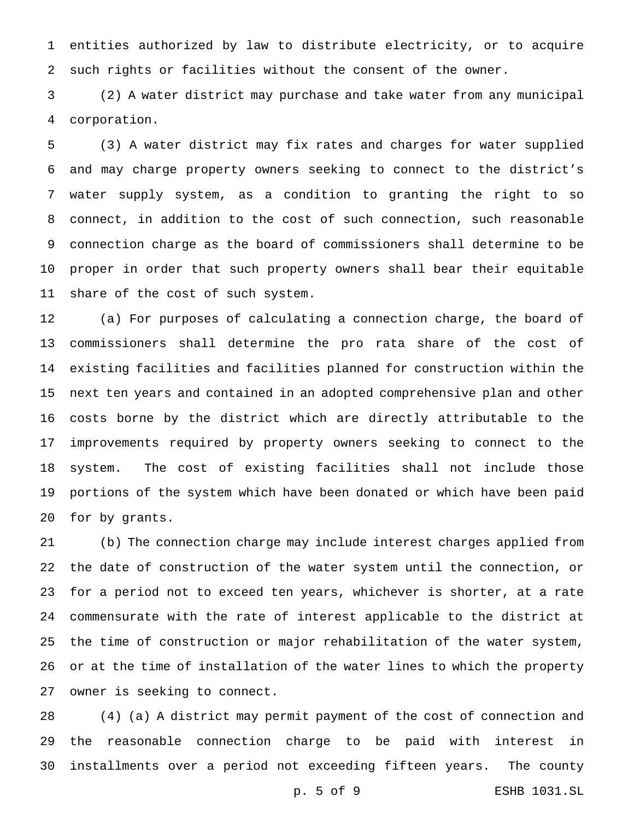entities authorized by law to distribute electricity, or to acquire such rights or facilities without the consent of the owner.

 (2) A water district may purchase and take water from any municipal corporation.

 (3) A water district may fix rates and charges for water supplied and may charge property owners seeking to connect to the district's water supply system, as a condition to granting the right to so connect, in addition to the cost of such connection, such reasonable connection charge as the board of commissioners shall determine to be proper in order that such property owners shall bear their equitable share of the cost of such system.

 (a) For purposes of calculating a connection charge, the board of commissioners shall determine the pro rata share of the cost of existing facilities and facilities planned for construction within the next ten years and contained in an adopted comprehensive plan and other costs borne by the district which are directly attributable to the improvements required by property owners seeking to connect to the system. The cost of existing facilities shall not include those portions of the system which have been donated or which have been paid for by grants.

 (b) The connection charge may include interest charges applied from the date of construction of the water system until the connection, or for a period not to exceed ten years, whichever is shorter, at a rate commensurate with the rate of interest applicable to the district at the time of construction or major rehabilitation of the water system, or at the time of installation of the water lines to which the property owner is seeking to connect.

 (4) (a) A district may permit payment of the cost of connection and the reasonable connection charge to be paid with interest in installments over a period not exceeding fifteen years. The county

p. 5 of 9 ESHB 1031.SL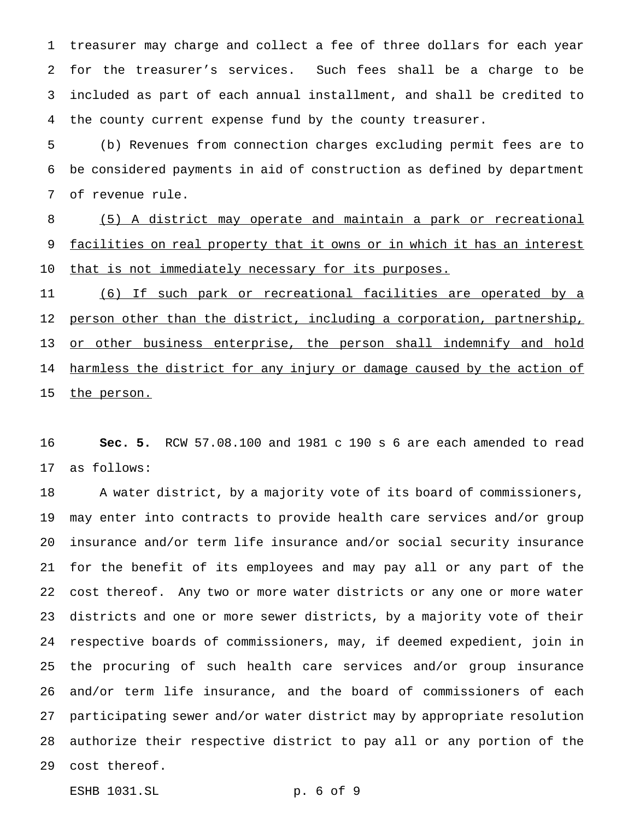treasurer may charge and collect a fee of three dollars for each year for the treasurer's services. Such fees shall be a charge to be included as part of each annual installment, and shall be credited to the county current expense fund by the county treasurer.

 (b) Revenues from connection charges excluding permit fees are to be considered payments in aid of construction as defined by department of revenue rule.

 (5) A district may operate and maintain a park or recreational 9 facilities on real property that it owns or in which it has an interest 10 that is not immediately necessary for its purposes.

 (6) If such park or recreational facilities are operated by a 12 person other than the district, including a corporation, partnership, 13 or other business enterprise, the person shall indemnify and hold 14 harmless the district for any injury or damage caused by the action of 15 the person.

 **Sec. 5.** RCW 57.08.100 and 1981 c 190 s 6 are each amended to read as follows:

 A water district, by a majority vote of its board of commissioners, may enter into contracts to provide health care services and/or group insurance and/or term life insurance and/or social security insurance for the benefit of its employees and may pay all or any part of the cost thereof. Any two or more water districts or any one or more water districts and one or more sewer districts, by a majority vote of their respective boards of commissioners, may, if deemed expedient, join in the procuring of such health care services and/or group insurance and/or term life insurance, and the board of commissioners of each participating sewer and/or water district may by appropriate resolution authorize their respective district to pay all or any portion of the cost thereof.

ESHB 1031.SL p. 6 of 9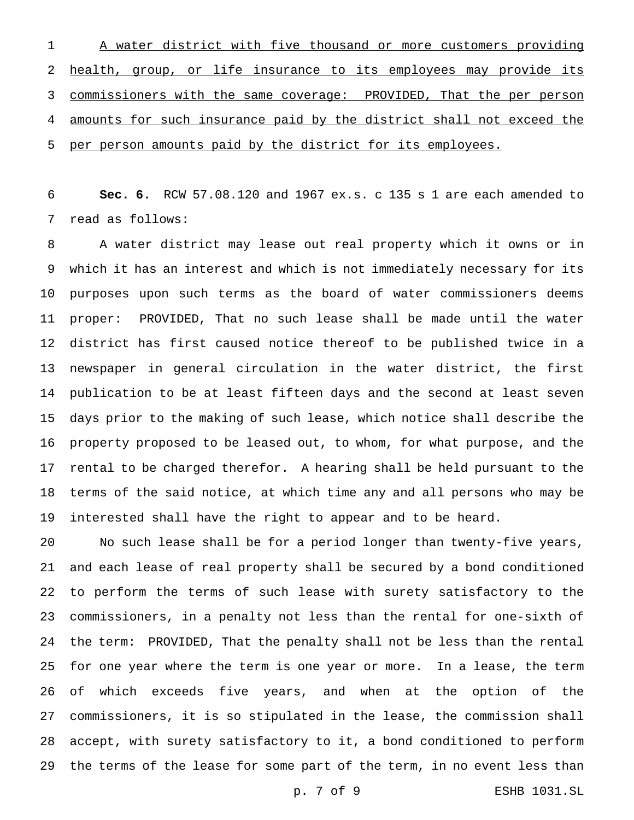A water district with five thousand or more customers providing health, group, or life insurance to its employees may provide its commissioners with the same coverage: PROVIDED, That the per person amounts for such insurance paid by the district shall not exceed the per person amounts paid by the district for its employees.

 **Sec. 6.** RCW 57.08.120 and 1967 ex.s. c 135 s 1 are each amended to read as follows:

 A water district may lease out real property which it owns or in which it has an interest and which is not immediately necessary for its purposes upon such terms as the board of water commissioners deems proper: PROVIDED, That no such lease shall be made until the water district has first caused notice thereof to be published twice in a newspaper in general circulation in the water district, the first publication to be at least fifteen days and the second at least seven days prior to the making of such lease, which notice shall describe the property proposed to be leased out, to whom, for what purpose, and the rental to be charged therefor. A hearing shall be held pursuant to the terms of the said notice, at which time any and all persons who may be interested shall have the right to appear and to be heard.

 No such lease shall be for a period longer than twenty-five years, and each lease of real property shall be secured by a bond conditioned to perform the terms of such lease with surety satisfactory to the commissioners, in a penalty not less than the rental for one-sixth of the term: PROVIDED, That the penalty shall not be less than the rental for one year where the term is one year or more. In a lease, the term of which exceeds five years, and when at the option of the commissioners, it is so stipulated in the lease, the commission shall accept, with surety satisfactory to it, a bond conditioned to perform the terms of the lease for some part of the term, in no event less than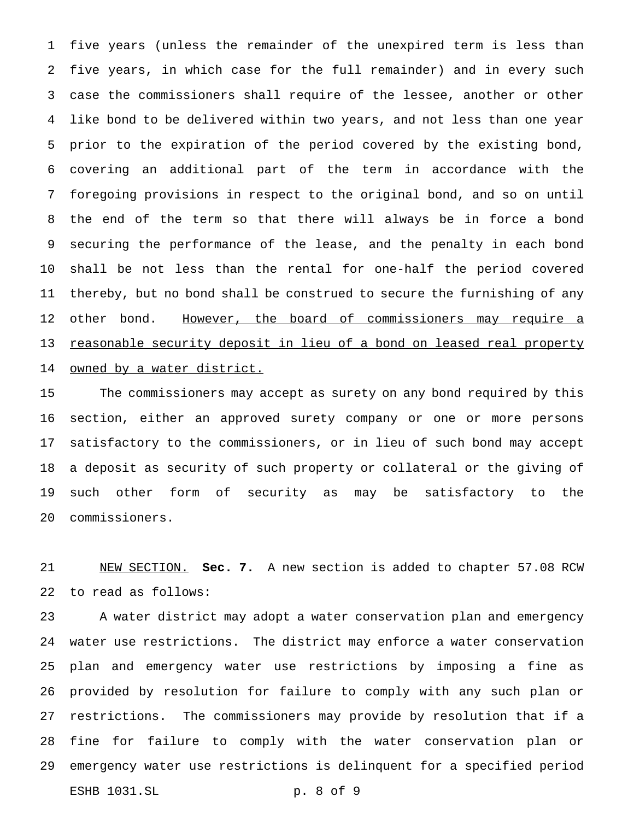five years (unless the remainder of the unexpired term is less than five years, in which case for the full remainder) and in every such case the commissioners shall require of the lessee, another or other like bond to be delivered within two years, and not less than one year prior to the expiration of the period covered by the existing bond, covering an additional part of the term in accordance with the foregoing provisions in respect to the original bond, and so on until the end of the term so that there will always be in force a bond securing the performance of the lease, and the penalty in each bond shall be not less than the rental for one-half the period covered thereby, but no bond shall be construed to secure the furnishing of any 12 other bond. However, the board of commissioners may require a 13 reasonable security deposit in lieu of a bond on leased real property 14 owned by a water district.

 The commissioners may accept as surety on any bond required by this section, either an approved surety company or one or more persons satisfactory to the commissioners, or in lieu of such bond may accept a deposit as security of such property or collateral or the giving of such other form of security as may be satisfactory to the commissioners.

 NEW SECTION. **Sec. 7.** A new section is added to chapter 57.08 RCW to read as follows:

 A water district may adopt a water conservation plan and emergency water use restrictions. The district may enforce a water conservation plan and emergency water use restrictions by imposing a fine as provided by resolution for failure to comply with any such plan or restrictions. The commissioners may provide by resolution that if a fine for failure to comply with the water conservation plan or emergency water use restrictions is delinquent for a specified period ESHB 1031.SL p. 8 of 9